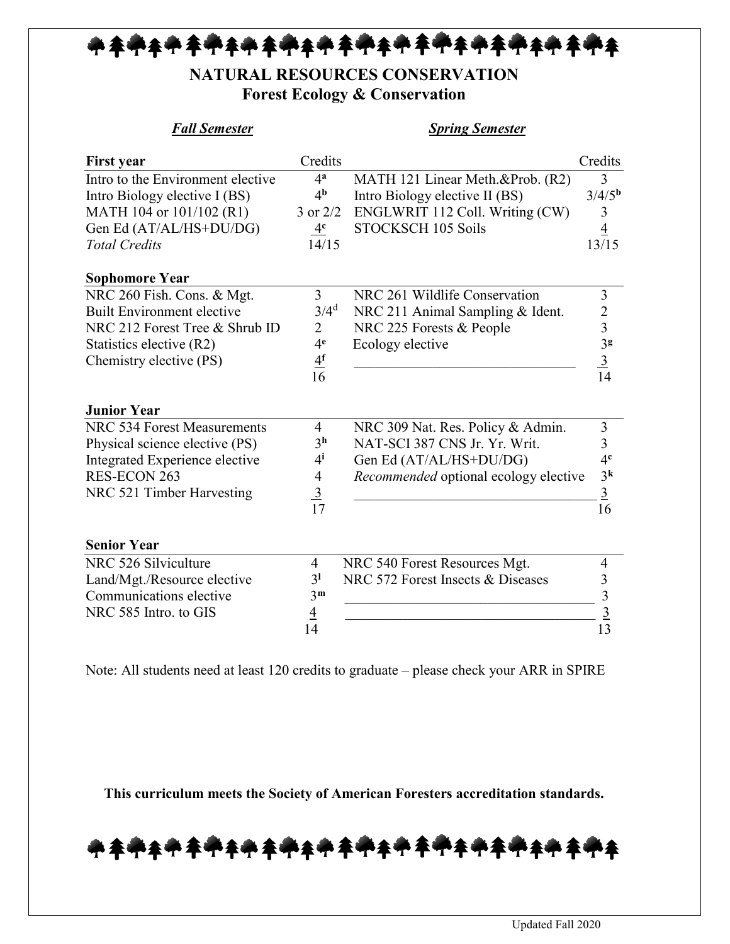## ቚ<del>ቚቚቚቚቚቚቚቚቚቚ</del>ቚቚቝቚቝቚቚቚቚቚቚቚቚቚ

## **NATURAL RESOURCES CONSERVATION Forest Ecology & Conservation**

| <b>Fall Semester</b>              |                          | <b>Spring Semester</b>                |                    |
|-----------------------------------|--------------------------|---------------------------------------|--------------------|
| <b>First year</b>                 | Credits                  |                                       | Credits            |
| Intro to the Environment elective | 4 <sup>a</sup>           | MATH 121 Linear Meth.&Prob. (R2)      | 3                  |
| Intro Biology elective I (BS)     | 4 <sup>b</sup>           | Intro Biology elective II (BS)        | 3/4/5 <sup>b</sup> |
| MATH 104 or 101/102 (R1)          | $3$ or $2/2$             | ENGLWRIT 112 Coll. Writing (CW)       | 3                  |
| Gen Ed (AT/AL/HS+DU/DG)           | 4 <sup>c</sup>           | STOCKSCH 105 Soils                    | $\overline{4}$     |
| <b>Total Credits</b>              | 14/15                    |                                       | 13/15              |
| <b>Sophomore Year</b>             |                          |                                       |                    |
| NRC 260 Fish. Cons. & Mgt.        | $\overline{3}$           | NRC 261 Wildlife Conservation         | 3                  |
| <b>Built Environment elective</b> | $3/4^d$                  | NRC 211 Animal Sampling & Ident.      |                    |
| NRC 212 Forest Tree & Shrub ID    | $\overline{2}$           | NRC 225 Forests & People              | $\frac{2}{3}$      |
| Statistics elective (R2)          | 4 <sup>e</sup>           | Ecology elective                      | 3 <sup>g</sup>     |
| Chemistry elective (PS)           | $\frac{4^f}{16}$         |                                       | $\frac{3}{14}$     |
|                                   |                          |                                       |                    |
| <b>Junior Year</b>                |                          |                                       |                    |
| NRC 534 Forest Measurements       | 4                        | NRC 309 Nat. Res. Policy & Admin.     | 3                  |
| Physical science elective (PS)    | 3 <sup>h</sup>           | NAT-SCI 387 CNS Jr. Yr. Writ.         | $\overline{3}$     |
| Integrated Experience elective    | $4^{i}$                  | Gen Ed (AT/AL/HS+DU/DG)               | 4 <sup>c</sup>     |
| RES-ECON 263                      | $\overline{\mathcal{A}}$ | Recommended optional ecology elective | 3 <sup>k</sup>     |
| NRC 521 Timber Harvesting         | $\frac{3}{17}$           |                                       | $\overline{3}$     |
|                                   |                          |                                       | 16                 |
| <b>Senior Year</b>                |                          |                                       |                    |
| NRC 526 Silviculture              | $\overline{\mathcal{A}}$ | NRC 540 Forest Resources Mgt.         | 4                  |
| Land/Mgt./Resource elective       | 3 <sup>1</sup>           | NRC 572 Forest Insects & Diseases     | 3                  |
| Communications elective           | 3 <sup>m</sup>           |                                       | 3                  |
| NRC 585 Intro. to GIS             | $\overline{4}$           |                                       | $\frac{3}{2}$      |
|                                   | 14                       |                                       | 13                 |

Note: All students need at least 120 credits to graduate – please check your ARR in SPIRE

**This curriculum meets the Society of American Foresters accreditation standards.**

<u>╇</u>╪╇╪╇**╪╇╪╇╪╇╪╇╪╇╪╇╪╇╪╇╪╇**╪╇╪